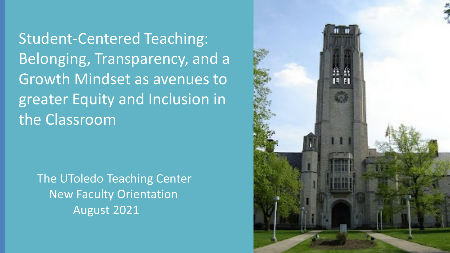Student-Centered Teaching: Belonging, Transparency, and a Growth Mindset as avenues to greater Equity and Inclusion in the Classroom

The UToledo Teaching Center New Faculty Orientation August 2021

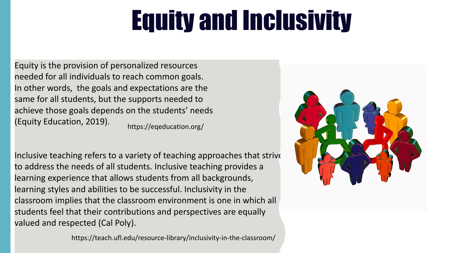# Equity and Inclusivity

Equity is the provision of personalized resources needed for all individuals to reach common goals. In other words, the goals and expectations are the same for all students, but the supports needed to achieve those goals depends on the students' needs (Equity Education, 2019). https://eqeducation.org/

Inclusive teaching refers to a variety of teaching approaches that strive to address the needs of all students. Inclusive teaching provides a learning experience that allows students from all backgrounds, learning styles and abilities to be successful. Inclusivity in the classroom implies that the classroom environment is one in which all students feel that their contributions and perspectives are equally valued and respected (Cal Poly).

https://teach.ufl.edu/resource-library/inclusivity-in-the-classroom/

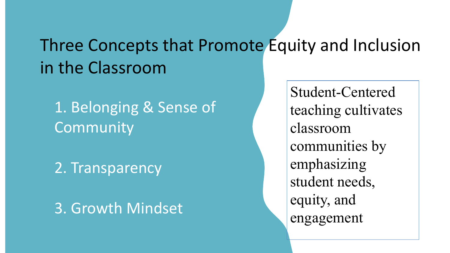## Three Concepts that Promote Equity and Inclusion in the Classroom

1. Belonging & Sense of **Community** 

2. Transparency

3. Growth Mindset

Student-Centered teaching cultivates classroom communities by emphasizing student needs, equity, and engagement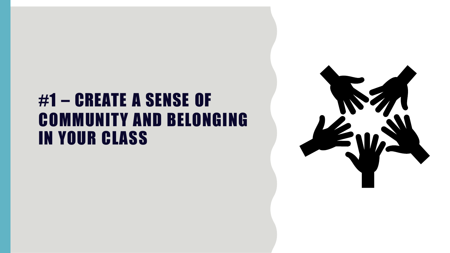### #1 – CREATE A SENSE OF COMMUNITY AND BELONGING IN YOUR CLASS

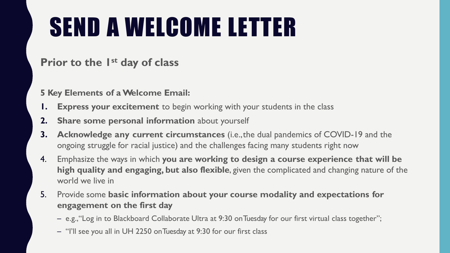# SEND A WELCOME LETTER

### **Prior to the 1st day of class**

**5 Key Elements of aWelcome Email:**

- **Express your excitement** to begin working with your students in the class
- **2. Share some personal information** about yourself
- **3. Acknowledge any current circumstances** (i.e.,the dual pandemics of COVID-19 and the ongoing struggle for racial justice) and the challenges facing many students right now
- 4. Emphasize the ways in which **you are working to design a course experience that will be high quality and engaging, but also flexible**, given the complicated and changing nature of the world we live in
- 5. Provide some **basic information about your course modality and expectations for engagement on the first day**
	- e.g.,"Log in to Blackboard Collaborate Ultra at 9:30 onTuesday for our first virtual class together";
	- "I'll see you all in UH 2250 onTuesday at 9:30 for our first class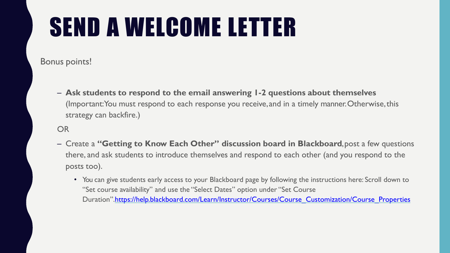# SEND A WELCOME LETTER

Bonus points!

– **Ask students to respond to the email answering 1-2 questions about themselves**  (Important:You must respond to each response you receive,and in a timely manner.Otherwise,this strategy can backfire.)

### OR

- Create a **"Getting to Know Each Other" discussion board in Blackboard**,post a few questions there, and ask students to introduce themselves and respond to each other (and you respond to the posts too).
	- You can give students early access to your Blackboard page by following the instructions here: Scroll down to "Set course availability" and use the "Select Dates" option under "Set Course Duration"[.https://help.blackboard.com/Learn/Instructor/Courses/Course\\_Customization/Course\\_Properties](https://help.blackboard.com/Learn/Instructor/Courses/Course_Customization/Course_Properties)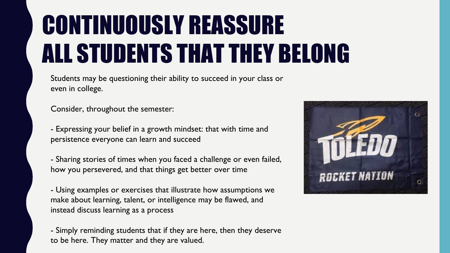# CONTINUOUSLY REASSURE ALL STUDENTS THAT THEY BELONG

Students may be questioning their ability to succeed in your class or even in college.

Consider, throughout the semester:

- Expressing your belief in a growth mindset: that with time and persistence everyone can learn and succeed

- Sharing stories of times when you faced a challenge or even failed, how you persevered, and that things get better over time

- Using examples or exercises that illustrate how assumptions we make about learning, talent, or intelligence may be flawed, and instead discuss learning as a process

- Simply reminding students that if they are here, then they deserve to be here. They matter and they are valued.

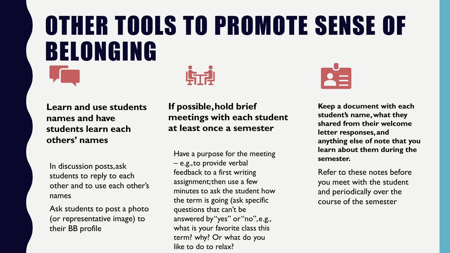## OTHER TOOLS TO PROMOTE SENSE OF BELONGING 占臣  $\sum_{n=1}^{\infty}$

**Keep a document with each student's name,what they shared from their welcome letter responses,and anything else of note that you learn about them during the semester.**

Refer to these notes before you meet with the student and periodically over the course of the semester

**Learn and use students names and have students learn each others' names**

In discussion posts,ask students to reply to each other and to use each other's names

Ask students to post a photo (or representative image) to their BB profile

**If possible,hold brief meetings with each student at least once a semester**

Have a purpose for the meeting – e.g.,to provide verbal feedback to a first writing assignment; then use a few minutes to ask the student how the term is going (ask specific questions that can't be answered by "yes" or "no", e.g., what is your favorite class this term? why? Or what do you like to do to relax?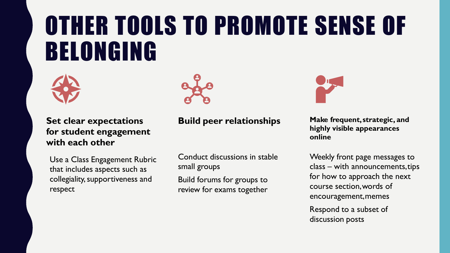## OTHER TOOLS TO PROMOTE SENSE OF BELONGING





### **Set clear expectations for student engagement with each other**

Use a Class Engagement Rubric that includes aspects such as collegiality, supportiveness and respect

### **Build peer relationships**

Conduct discussions in stable small groups

Build forums for groups to review for exams together



**Make frequent,strategic, and highly visible appearances online**

Weekly front page messages to class – with announcements,tips for how to approach the next course section,words of encouragement,memes

Respond to a subset of discussion posts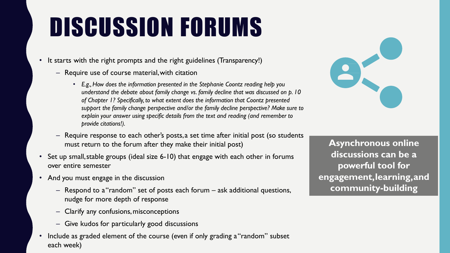## DISCUSSION FORUMS

- It starts with the right prompts and the right guidelines (Transparency!)
	- Require use of course material,with citation
		- *E.g., How does the information presented in the Stephanie Coontz reading help you understand the debate about family change vs. family decline that was discussed on p. 10 of Chapter 1? Specifically, to what extent does the information that Coontz presented support the family change perspective and/or the family decline perspective? Make sure to explain your answer using specific details from the text and reading (and remember to provide citations!).*
	- Require response to each other's posts,a set time after initial post (so students must return to the forum after they make their initial post)
- Set up small, stable groups (ideal size 6-10) that engage with each other in forums over entire semester
- And you must engage in the discussion
	- Respond to a"random" set of posts each forum ask additional questions, nudge for more depth of response
	- Clarify any confusions,misconceptions
	- Give kudos for particularly good discussions
- Include as graded element of the course (even if only grading a "random" subset each week)



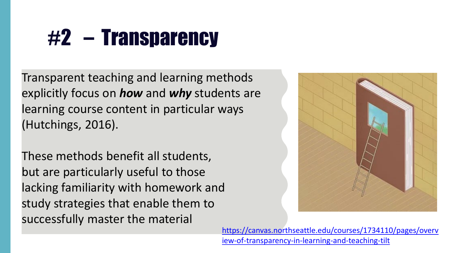## #2 – Transparency

Transparent teaching and learning methods explicitly focus on *how* and *why* students are learning course content in particular ways (Hutchings, 2016).

These methods benefit all students, but are particularly useful to those lacking familiarity with homework and study strategies that enable them to successfully master the material



[https://canvas.northseattle.edu/courses/1734110/pages/overv](https://canvas.northseattle.edu/courses/1734110/pages/overview-of-transparency-in-learning-and-teaching-tilt) iew-of-transparency-in-learning-and-teaching-tilt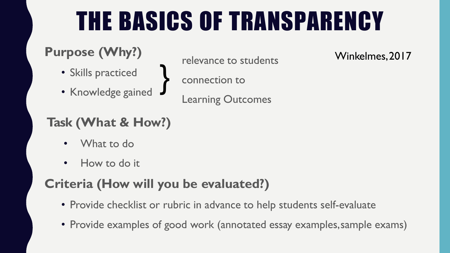## THE BASICS OF TRANSPARENCY

### **Purpose (Why?)**

- Skills practiced
- Knowledge gained

relevance to students

connection to

Learning Outcomes

### **Task (What & How?)**

- What to do
- How to do it

### **Criteria (How will you be evaluated?)**

}

- Provide checklist or rubric in advance to help students self-evaluate
- Provide examples of good work (annotated essay examples,sample exams)

Winkelmes,2017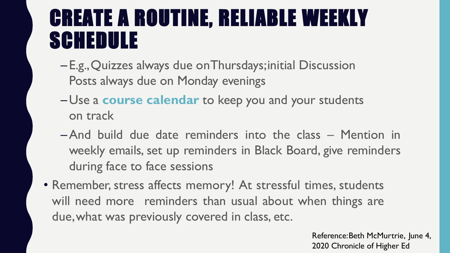## CREATE A ROUTINE, RELIABLE WEEKLY SCHEDULE

- E.g.,Quizzes always due onThursdays;initial Discussion Posts always due on Monday evenings
- Use a **course calendar** to keep you and your students on track
- –And build due date reminders into the class Mention in weekly emails, set up reminders in Black Board, give reminders during face to face sessions
- Remember, stress affects memory! At stressful times, students will need more reminders than usual about when things are due,what was previously covered in class, etc.

Reference:Beth McMurtrie, June 4, 2020 Chronicle of Higher Ed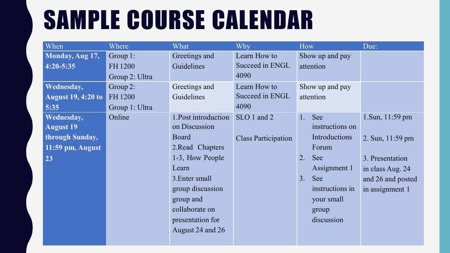## SAMPLE COURSE CALENDAR

| When                      | Where          | What                 | Why                        | How             | Due:              |
|---------------------------|----------------|----------------------|----------------------------|-----------------|-------------------|
| <b>Monday, Aug 17,</b>    | Group 1:       | Greetings and        | Learn How to               | Show up and pay |                   |
| $4:20 - 5:35$             | FH 1200        | Guidelines           | Succeed in ENGL            | attention       |                   |
|                           | Group 2: Ultra |                      | 4090                       |                 |                   |
| Wednesday,                | Group 2:       | Greetings and        | Learn How to               | Show up and pay |                   |
| <b>August 19, 4:20 to</b> | FH 1200        | Guidelines           | Succeed in ENGL            | attention       |                   |
| 5:35                      | Group 1: Ultra |                      | 4090                       |                 |                   |
| Wednesday,                | Online         | 1. Post introduction | SLO 1 and 2                | See<br>1.       | 1. Sun, 11:59 pm  |
| <b>August 19</b>          |                | on Discussion        |                            | instructions on |                   |
| through Sunday,           |                | Board                | <b>Class Participation</b> | Introductions   | 2. Sun, 11:59 pm  |
| 11:59 pm, August          |                | 2. Read Chapters     |                            | Forum           |                   |
| 23                        |                | 1-3, How People      |                            | See<br>2.       | 3. Presentation   |
|                           |                | Learn                |                            | Assignment 1    | in class Aug. 24  |
|                           |                | 3. Enter small       |                            | 3.<br>See       | and 26 and posted |
|                           |                | group discussion     |                            | instructions in | in assignment 1   |
|                           |                | group and            |                            | your small      |                   |
|                           |                | collaborate on       |                            | group           |                   |
|                           |                | presentation for     |                            | discussion      |                   |
|                           |                | August 24 and 26     |                            |                 |                   |
|                           |                |                      |                            |                 |                   |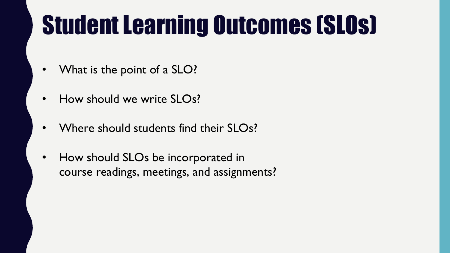## Student Learning Outcomes (SLOs)

- What is the point of a SLO?
- How should we write SLOs?
- Where should students find their SLOs?
- How should SLOs be incorporated in course readings, meetings, and assignments?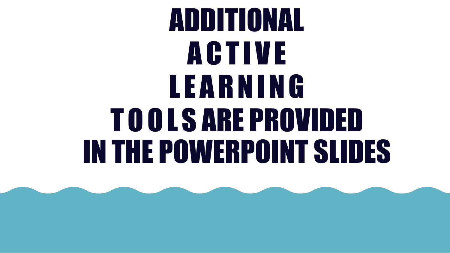# ADDITIONAL **ACTIVE** L E ARNING TOOLS ARE PROVIDED IN THE POWERPOINT SLIDES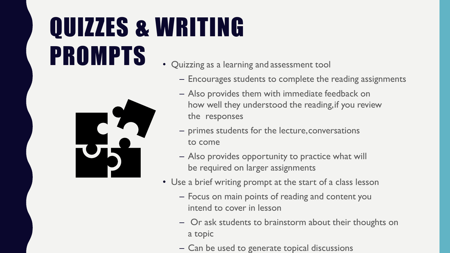# QUIZZES & WRITING **PROMPTS** • Quizzing as a learning and assessment tool



- - Encourages students to complete the reading assignments
	- Also provides them with immediate feedback on how well they understood the reading,if you review the responses
	- primes students for the lecture,conversations to come
	- Also provides opportunity to practice what will be required on larger assignments
- Use a brief writing prompt at the start of a class lesson
	- Focus on main points of reading and content you intend to cover in lesson
	- Or ask students to brainstorm about their thoughts on a topic
	- Can be used to generate topical discussions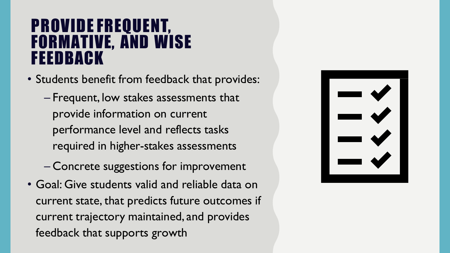### PROVIDE FREQUENT, FORMATIVE, AND WISE FEEDBACK

- Students benefit from feedback that provides:
	- Frequent, low stakes assessments that provide information on current performance level and reflects tasks required in higher-stakes assessments
	- Concrete suggestions for improvement
- Goal: Give students valid and reliable data on current state, that predicts future outcomes if current trajectory maintained, and provides feedback that supports growth

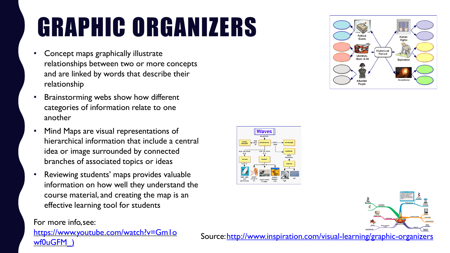# GRAPHIC ORGANIZERS

- Concept maps graphically illustrate relationships between two or more concepts and are linked by words that describe their relationship
- Brainstorming webs show how different categories of information relate to one another
- Mind Maps are visual representations of hierarchical information that include a central idea or image surrounded by connected branches of associated topics or ideas
- Reviewing students' maps provides valuable information on how well they understand the course material, and creating the map is an effective learning tool for students

#### For more info,see:

### https://www.youtube.com/watch?v=Gm1o wf0uGFM\_)

Source: <http://www.inspiration.com/visual-learning/graphic-organizers>



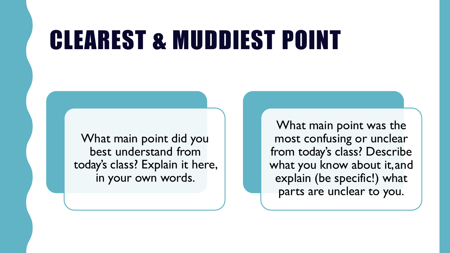## CLEAREST & MUDDIEST POINT

What main point did you best understand from today's class? Explain it here, in your own words.

What main point was the most confusing or unclear from today's class? Describe what you know about it,and explain (be specific!) what parts are unclear to you.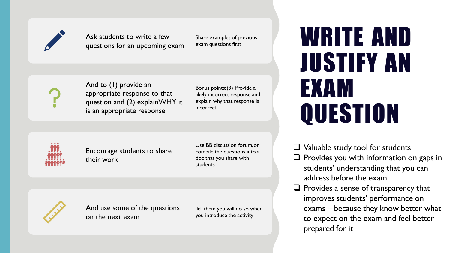

Ask students to write a few questions for an upcoming exam

Share examples of previous exam questions first

And to (1) provide an appropriate response to that question and (2) explainWHY it is an appropriate response

Bonus points:(3) Provide a likely incorrect response and explain why that response is incorrect



Encourage students to share their work

Use BB discussion forum,or compile the questions into a doc that you share with students



And use some of the questions on the next exam

Tell them you will do so when you introduce the activity

## WRITE AND JUSTIFY AN EXAM **QUESTION**

 $\Box$  Valuable study tool for students

- $\Box$  Provides you with information on gaps in students' understanding that you can address before the exam
- $\Box$  Provides a sense of transparency that improves students' performance on exams – because they know better what to expect on the exam and feel better prepared for it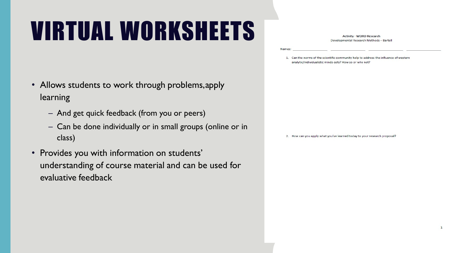# VIRTUAL WORKSHEETS

- Allows students to work through problems,apply learning
	- And get quick feedback (from you or peers)
	- Can be done individually or in small groups (online or in class)
- Provides you with information on students' understanding of course material and can be used for evaluative feedback

**Activity - WEIRD Research** Developmental Research Methods - Bartell

 $\mathbf{1}$ Can the norms of the scientific community help to address the influence of western analytic/individualistic minds-sets? How so or why not?

2. How can you apply what you've learned today to your research proposal?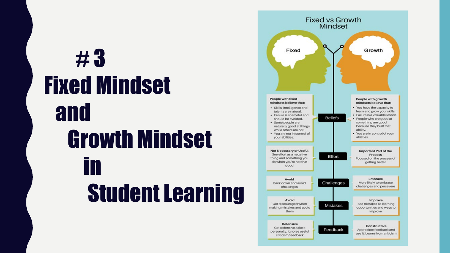## # 3 Fixed Mindset and Growth Mindset in Student Learning

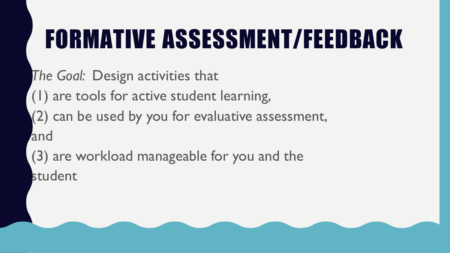## FORMATIVE ASSESSMENT/FEEDBACK

*The Goal:* Design activities that

(1) are tools for active student learning,

(2) can be used by you for evaluative assessment, and

(3) are workload manageable for you and the student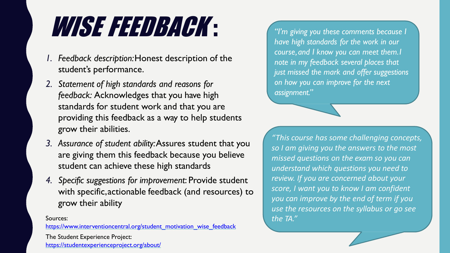## WISE FEEDBACK:

- *1. Feedback description:*Honest description of the student's performance.
- *2. Statement of high standards and reasons for feedback:* Acknowledges that you have high standards for student work and that you are providing this feedback as a way to help students grow their abilities.
- *3. Assurance of student ability:*Assures student that you are giving them this feedback because you believe student can achieve these high standards
- *4. Specific suggestions for improvement*: Provide student with specific,actionable feedback (and resources) to grow their ability

Sources:

[https://www.interventioncentral.org/student\\_motivation\\_wise\\_feedback](https://www.interventioncentral.org/student_motivation_wise_feedback)

The Student Experience Project: <https://studentexperienceproject.org/about/>

*"I'm giving you these comments because I have high standards for the work in our course,and I know you can meet them.I note in my feedback several places that just missed the mark and offer suggestions on how you can improve for the next assignment."*

*"This course has some challenging concepts, so I am giving you the answers to the most missed questions on the exam so you can understand which questions you need to review. If you are concerned about your score, I want you to know I am confident you can improve by the end of term if you use the resources on the syllabus or go see the TA."*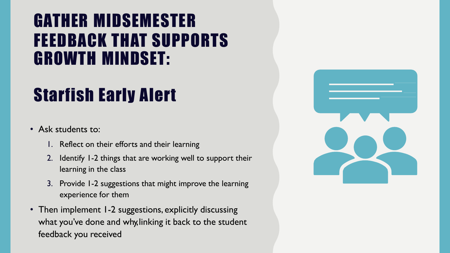## GATHER MIDSEMESTER FEEDBACK THAT SUPPORTS GROWTH MINDSET:

## Starfish Early Alert

- Ask students to:
	- 1. Reflect on their efforts and their learning
	- 2. Identify 1-2 things that are working well to support their learning in the class
	- 3. Provide 1-2 suggestions that might improve the learning experience for them
- Then implement 1-2 suggestions, explicitly discussing what you've done and why,linking it back to the student feedback you received

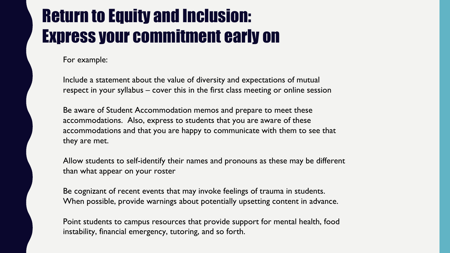## Return to Equity and Inclusion: Express your commitment early on

For example:

Include a statement about the value of diversity and expectations of mutual respect in your syllabus – cover this in the first class meeting or online session

Be aware of Student Accommodation memos and prepare to meet these accommodations. Also, express to students that you are aware of these accommodations and that you are happy to communicate with them to see that they are met.

Allow students to self-identify their names and pronouns as these may be different than what appear on your roster

Be cognizant of recent events that may invoke feelings of trauma in students. When possible, provide warnings about potentially upsetting content in advance.

Point students to campus resources that provide support for mental health, food instability, financial emergency, tutoring, and so forth.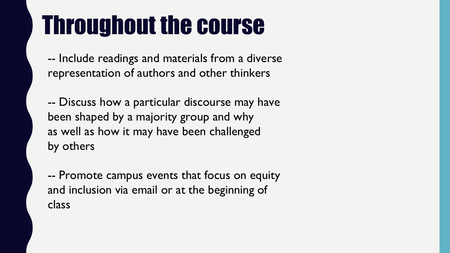## Throughout the course

-- Include readings and materials from a diverse representation of authors and other thinkers

-- Discuss how a particular discourse may have been shaped by a majority group and why as well as how it may have been challenged by others

-- Promote campus events that focus on equity and inclusion via email or at the beginning of class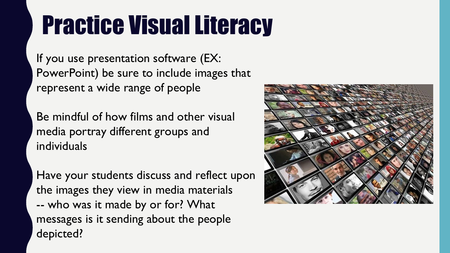## Practice Visual Literacy

If you use presentation software (EX: PowerPoint) be sure to include images that represent a wide range of people

Be mindful of how films and other visual media portray different groups and individuals

Have your students discuss and reflect upon the images they view in media materials -- who was it made by or for? What messages is it sending about the people depicted?

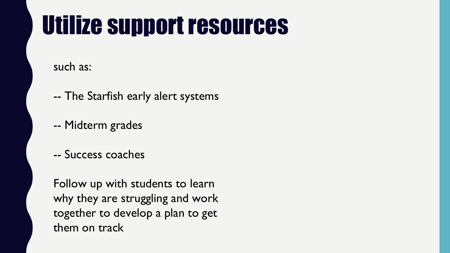## Utilize support resources

such as:

- -- The Starfish early alert systems
- -- Midterm grades
- -- Success coaches

Follow up with students to learn why they are struggling and work together to develop a plan to get them on track